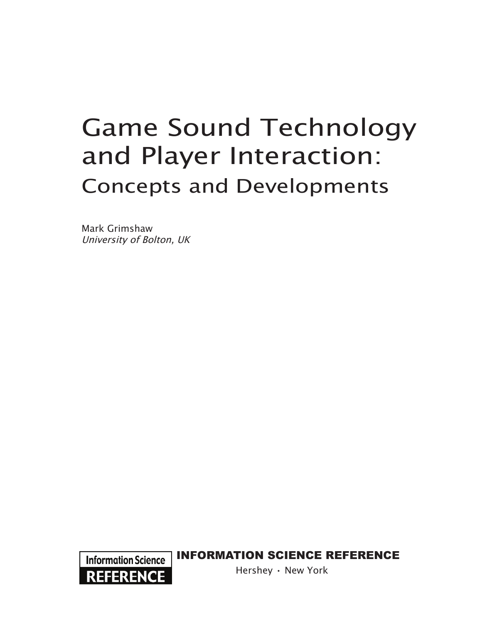# Game Sound Technology and Player Interaction: Concepts and Developments

Mark Grimshaw University of Bolton, UK



InformatIon scIence reference

Hershey • New York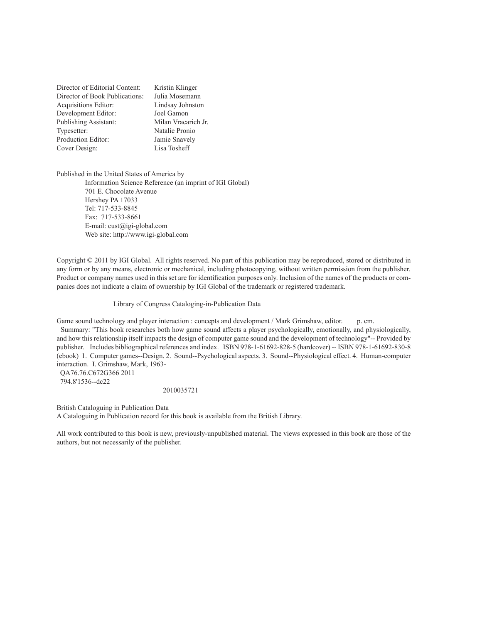| Director of Editorial Content: | Kristin Klinger     |
|--------------------------------|---------------------|
| Director of Book Publications: | Julia Mosemann      |
| Acquisitions Editor:           | Lindsay Johnston    |
| Development Editor:            | Joel Gamon          |
| Publishing Assistant:          | Milan Vracarich Jr. |
| Typesetter:                    | Natalie Pronio      |
| Production Editor:             | Jamie Snavely       |
| Cover Design:                  | Lisa Tosheff        |
|                                |                     |

Published in the United States of America by Information Science Reference (an imprint of IGI Global) 701 E. Chocolate Avenue Hershey PA 17033 Tel: 717-533-8845 Fax: 717-533-8661 E-mail: cust@igi-global.com Web site: http://www.igi-global.com

Copyright © 2011 by IGI Global. All rights reserved. No part of this publication may be reproduced, stored or distributed in any form or by any means, electronic or mechanical, including photocopying, without written permission from the publisher. Product or company names used in this set are for identification purposes only. Inclusion of the names of the products or companies does not indicate a claim of ownership by IGI Global of the trademark or registered trademark.

Library of Congress Cataloging-in-Publication Data

Game sound technology and player interaction : concepts and development / Mark Grimshaw, editor. p. cm.

 Summary: "This book researches both how game sound affects a player psychologically, emotionally, and physiologically, and how this relationship itself impacts the design of computer game sound and the development of technology"-- Provided by publisher. Includes bibliographical references and index. ISBN 978-1-61692-828-5 (hardcover) -- ISBN 978-1-61692-830-8 (ebook) 1. Computer games--Design. 2. Sound--Psychological aspects. 3. Sound--Physiological effect. 4. Human-computer interaction. I. Grimshaw, Mark, 1963- QA76.76.C672G366 2011

794.8'1536--dc22

#### 2010035721

British Cataloguing in Publication Data A Cataloguing in Publication record for this book is available from the British Library.

All work contributed to this book is new, previously-unpublished material. The views expressed in this book are those of the authors, but not necessarily of the publisher.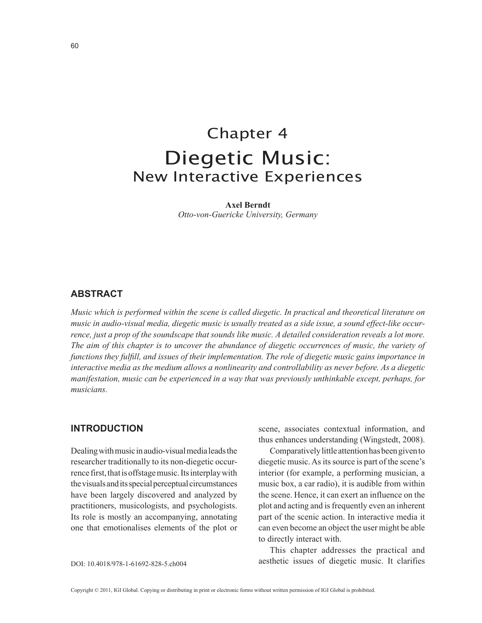# Chapter 4 Diegetic Music: New Interactive Experiences

**Axel Berndt** *Otto-von-Guericke University, Germany*

# **AbstrAct**

*Music which is performed within the scene is called diegetic. In practical and theoretical literature on music in audio-visual media, diegetic music is usually treated as a side issue, a sound effect-like occurrence, just a prop of the soundscape that sounds like music. A detailed consideration reveals a lot more. The aim of this chapter is to uncover the abundance of diegetic occurrences of music, the variety of functions they fulfill, and issues of their implementation. The role of diegetic music gains importance in interactive media as the medium allows a nonlinearity and controllability as never before. As a diegetic manifestation, music can be experienced in a way that was previously unthinkable except, perhaps, for musicians.*

#### **INtrODUctION**

Dealing with music in audio-visual media leads the researcher traditionally to its non-diegetic occurrence first, that is offstage music. Its interplay with the visuals and its special perceptual circumstances have been largely discovered and analyzed by practitioners, musicologists, and psychologists. Its role is mostly an accompanying, annotating one that emotionalises elements of the plot or scene, associates contextual information, and thus enhances understanding (Wingstedt, 2008).

Comparatively little attention has been given to diegetic music. As its source is part of the scene's interior (for example, a performing musician, a music box, a car radio), it is audible from within the scene. Hence, it can exert an influence on the plot and acting and is frequently even an inherent part of the scenic action. In interactive media it can even become an object the user might be able to directly interact with.

This chapter addresses the practical and aesthetic issues of diegetic music. It clarifies

DOI: 10.4018/978-1-61692-828-5.ch004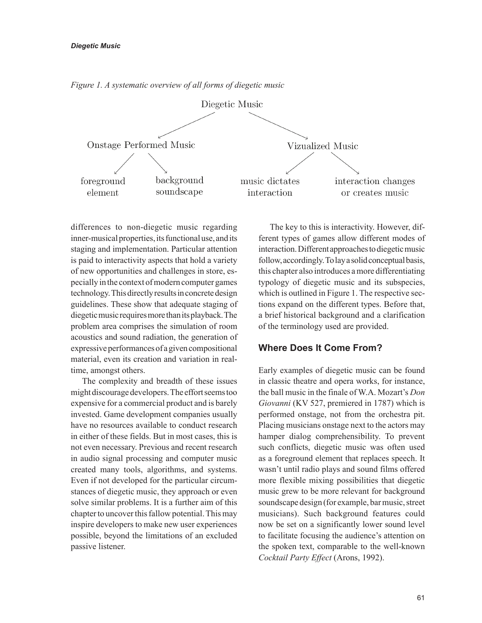

*Figure 1. A systematic overview of all forms of diegetic music*

differences to non-diegetic music regarding inner-musical properties, its functional use, and its staging and implementation. Particular attention is paid to interactivity aspects that hold a variety of new opportunities and challenges in store, especially in the context of modern computer games technology. This directly results in concrete design guidelines. These show that adequate staging of diegetic music requires more than its playback. The problem area comprises the simulation of room acoustics and sound radiation, the generation of expressive performances of a given compositional material, even its creation and variation in realtime, amongst others.

The complexity and breadth of these issues might discourage developers. The effort seems too expensive for a commercial product and is barely invested. Game development companies usually have no resources available to conduct research in either of these fields. But in most cases, this is not even necessary. Previous and recent research in audio signal processing and computer music created many tools, algorithms, and systems. Even if not developed for the particular circumstances of diegetic music, they approach or even solve similar problems. It is a further aim of this chapter to uncover this fallow potential. This may inspire developers to make new user experiences possible, beyond the limitations of an excluded passive listener.

The key to this is interactivity. However, different types of games allow different modes of interaction. Different approaches to diegetic music follow, accordingly. To lay a solid conceptual basis, this chapter also introduces a more differentiating typology of diegetic music and its subspecies, which is outlined in Figure 1. The respective sections expand on the different types. Before that, a brief historical background and a clarification of the terminology used are provided.

#### **Where Does It come From?**

Early examples of diegetic music can be found in classic theatre and opera works, for instance, the ball music in the finale of W.A. Mozart's *Don Giovanni* (KV 527, premiered in 1787) which is performed onstage, not from the orchestra pit. Placing musicians onstage next to the actors may hamper dialog comprehensibility. To prevent such conflicts, diegetic music was often used as a foreground element that replaces speech. It wasn't until radio plays and sound films offered more flexible mixing possibilities that diegetic music grew to be more relevant for background soundscape design (for example, bar music, street musicians). Such background features could now be set on a significantly lower sound level to facilitate focusing the audience's attention on the spoken text, comparable to the well-known *Cocktail Party Effect* (Arons, 1992).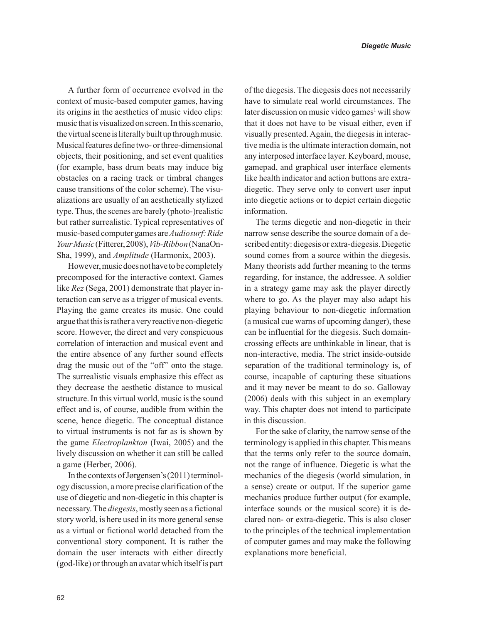A further form of occurrence evolved in the context of music-based computer games, having its origins in the aesthetics of music video clips: music that is visualized on screen. In this scenario, the virtual scene is literally built up through music. Musical features define two- or three-dimensional objects, their positioning, and set event qualities (for example, bass drum beats may induce big obstacles on a racing track or timbral changes cause transitions of the color scheme). The visualizations are usually of an aesthetically stylized type. Thus, the scenes are barely (photo-)realistic but rather surrealistic. Typical representatives of music-based computer games are *Audiosurf: Ride Your Music* (Fitterer, 2008), *Vib-Ribbon* (NanaOn-Sha, 1999), and *Amplitude* (Harmonix, 2003).

However, music does not have to be completely precomposed for the interactive context. Games like *Rez* (Sega, 2001) demonstrate that player interaction can serve as a trigger of musical events. Playing the game creates its music. One could argue that this is rather a very reactive non-diegetic score. However, the direct and very conspicuous correlation of interaction and musical event and the entire absence of any further sound effects drag the music out of the "off" onto the stage. The surrealistic visuals emphasize this effect as they decrease the aesthetic distance to musical structure. In this virtual world, music is the sound effect and is, of course, audible from within the scene, hence diegetic. The conceptual distance to virtual instruments is not far as is shown by the game *Electroplankton* (Iwai, 2005) and the lively discussion on whether it can still be called a game (Herber, 2006).

In the contexts of Jørgensen's (2011) terminology discussion, a more precise clarification of the use of diegetic and non-diegetic in this chapter is necessary. The *diegesis*, mostly seen as a fictional story world, is here used in its more general sense as a virtual or fictional world detached from the conventional story component. It is rather the domain the user interacts with either directly (god-like) or through an avatar which itself is part of the diegesis. The diegesis does not necessarily have to simulate real world circumstances. The later discussion on music video games<sup>1</sup> will show that it does not have to be visual either, even if visually presented. Again, the diegesis in interactive media is the ultimate interaction domain, not any interposed interface layer. Keyboard, mouse, gamepad, and graphical user interface elements like health indicator and action buttons are extradiegetic. They serve only to convert user input into diegetic actions or to depict certain diegetic information.

The terms diegetic and non-diegetic in their narrow sense describe the source domain of a described entity: diegesis or extra-diegesis. Diegetic sound comes from a source within the diegesis. Many theorists add further meaning to the terms regarding, for instance, the addressee. A soldier in a strategy game may ask the player directly where to go. As the player may also adapt his playing behaviour to non-diegetic information (a musical cue warns of upcoming danger), these can be influential for the diegesis. Such domaincrossing effects are unthinkable in linear, that is non-interactive, media. The strict inside-outside separation of the traditional terminology is, of course, incapable of capturing these situations and it may never be meant to do so. Galloway (2006) deals with this subject in an exemplary way. This chapter does not intend to participate in this discussion.

For the sake of clarity, the narrow sense of the terminology is applied in this chapter. This means that the terms only refer to the source domain, not the range of influence. Diegetic is what the mechanics of the diegesis (world simulation, in a sense) create or output. If the superior game mechanics produce further output (for example, interface sounds or the musical score) it is declared non- or extra-diegetic. This is also closer to the principles of the technical implementation of computer games and may make the following explanations more beneficial.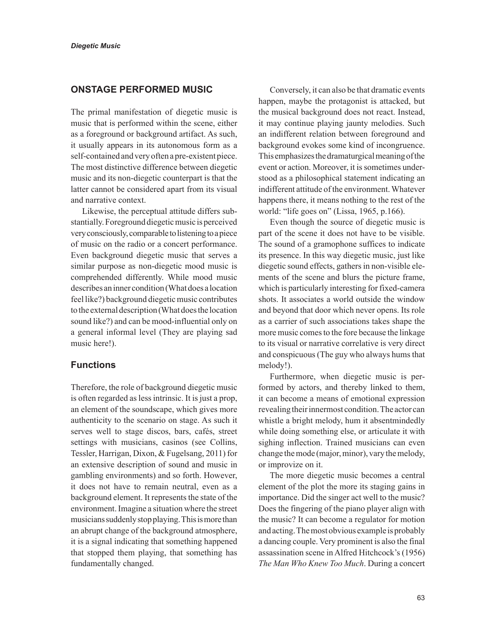#### **ONstAGE PErFOrMED MUsIc**

The primal manifestation of diegetic music is music that is performed within the scene, either as a foreground or background artifact. As such, it usually appears in its autonomous form as a self-contained and very often a pre-existent piece. The most distinctive difference between diegetic music and its non-diegetic counterpart is that the latter cannot be considered apart from its visual and narrative context.

Likewise, the perceptual attitude differs substantially. Foreground diegetic music is perceived very consciously, comparable to listening to a piece of music on the radio or a concert performance. Even background diegetic music that serves a similar purpose as non-diegetic mood music is comprehended differently. While mood music describes an inner condition (What does a location feel like?) background diegetic music contributes to the external description (What does the location sound like?) and can be mood-influential only on a general informal level (They are playing sad music here!).

## **Functions**

Therefore, the role of background diegetic music is often regarded as less intrinsic. It is just a prop, an element of the soundscape, which gives more authenticity to the scenario on stage. As such it serves well to stage discos, bars, cafés, street settings with musicians, casinos (see Collins, Tessler, Harrigan, Dixon, & Fugelsang, 2011) for an extensive description of sound and music in gambling environments) and so forth. However, it does not have to remain neutral, even as a background element. It represents the state of the environment. Imagine a situation where the street musicians suddenly stop playing. This is more than an abrupt change of the background atmosphere, it is a signal indicating that something happened that stopped them playing, that something has fundamentally changed.

Conversely, it can also be that dramatic events happen, maybe the protagonist is attacked, but the musical background does not react. Instead, it may continue playing jaunty melodies. Such an indifferent relation between foreground and background evokes some kind of incongruence. This emphasizes the dramaturgical meaning of the event or action. Moreover, it is sometimes understood as a philosophical statement indicating an indifferent attitude of the environment. Whatever happens there, it means nothing to the rest of the world: "life goes on" (Lissa, 1965, p.166).

Even though the source of diegetic music is part of the scene it does not have to be visible. The sound of a gramophone suffices to indicate its presence. In this way diegetic music, just like diegetic sound effects, gathers in non-visible elements of the scene and blurs the picture frame, which is particularly interesting for fixed-camera shots. It associates a world outside the window and beyond that door which never opens. Its role as a carrier of such associations takes shape the more music comes to the fore because the linkage to its visual or narrative correlative is very direct and conspicuous (The guy who always hums that melody!).

Furthermore, when diegetic music is performed by actors, and thereby linked to them, it can become a means of emotional expression revealing their innermost condition. The actor can whistle a bright melody, hum it absentmindedly while doing something else, or articulate it with sighing inflection. Trained musicians can even change the mode (major, minor), vary the melody, or improvize on it.

The more diegetic music becomes a central element of the plot the more its staging gains in importance. Did the singer act well to the music? Does the fingering of the piano player align with the music? It can become a regulator for motion and acting. The most obvious example is probably a dancing couple. Very prominent is also the final assassination scene in Alfred Hitchcock's (1956) *The Man Who Knew Too Much*. During a concert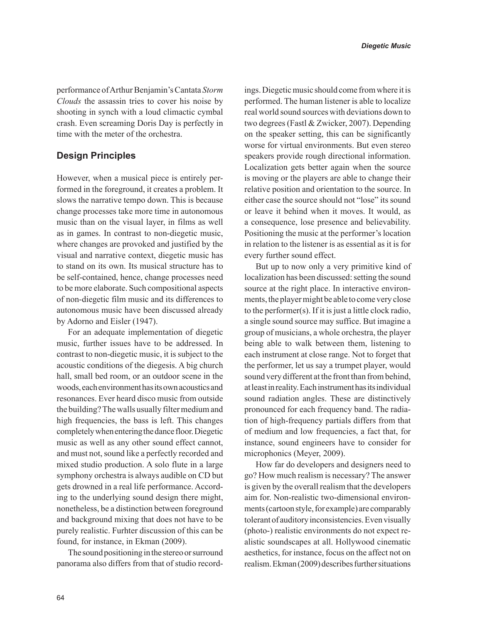performance of Arthur Benjamin's Cantata *Storm Clouds* the assassin tries to cover his noise by shooting in synch with a loud climactic cymbal crash. Even screaming Doris Day is perfectly in time with the meter of the orchestra.

## **Design Principles**

However, when a musical piece is entirely performed in the foreground, it creates a problem. It slows the narrative tempo down. This is because change processes take more time in autonomous music than on the visual layer, in films as well as in games. In contrast to non-diegetic music, where changes are provoked and justified by the visual and narrative context, diegetic music has to stand on its own. Its musical structure has to be self-contained, hence, change processes need to be more elaborate. Such compositional aspects of non-diegetic film music and its differences to autonomous music have been discussed already by Adorno and Eisler (1947).

For an adequate implementation of diegetic music, further issues have to be addressed. In contrast to non-diegetic music, it is subject to the acoustic conditions of the diegesis. A big church hall, small bed room, or an outdoor scene in the woods, each environment has its own acoustics and resonances. Ever heard disco music from outside the building? The walls usually filter medium and high frequencies, the bass is left. This changes completely when entering the dance floor. Diegetic music as well as any other sound effect cannot, and must not, sound like a perfectly recorded and mixed studio production. A solo flute in a large symphony orchestra is always audible on CD but gets drowned in a real life performance. According to the underlying sound design there might, nonetheless, be a distinction between foreground and background mixing that does not have to be purely realistic. Furhter discussion of this can be found, for instance, in Ekman (2009).

The sound positioning in the stereo or surround panorama also differs from that of studio recordings. Diegetic music should come from where it is performed. The human listener is able to localize real world sound sources with deviations down to two degrees (Fastl & Zwicker, 2007). Depending on the speaker setting, this can be significantly worse for virtual environments. But even stereo speakers provide rough directional information. Localization gets better again when the source is moving or the players are able to change their relative position and orientation to the source. In either case the source should not "lose" its sound or leave it behind when it moves. It would, as a consequence, lose presence and believability. Positioning the music at the performer's location in relation to the listener is as essential as it is for every further sound effect.

But up to now only a very primitive kind of localization has been discussed: setting the sound source at the right place. In interactive environments, the player might be able to come very close to the performer(s). If it is just a little clock radio, a single sound source may suffice. But imagine a group of musicians, a whole orchestra, the player being able to walk between them, listening to each instrument at close range. Not to forget that the performer, let us say a trumpet player, would sound very different at the front than from behind, at least in reality. Each instrument has its individual sound radiation angles. These are distinctively pronounced for each frequency band. The radiation of high-frequency partials differs from that of medium and low frequencies, a fact that, for instance, sound engineers have to consider for microphonics (Meyer, 2009).

How far do developers and designers need to go? How much realism is necessary? The answer is given by the overall realism that the developers aim for. Non-realistic two-dimensional environments (cartoon style, for example) are comparably tolerant of auditory inconsistencies. Even visually (photo-) realistic environments do not expect realistic soundscapes at all. Hollywood cinematic aesthetics, for instance, focus on the affect not on realism. Ekman (2009) describes further situations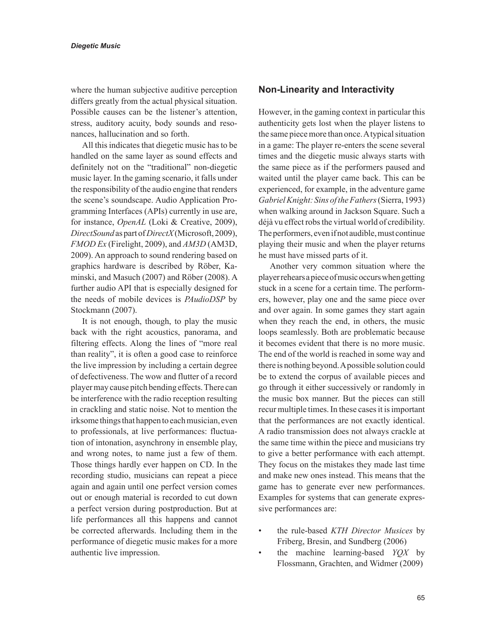where the human subjective auditive perception differs greatly from the actual physical situation. Possible causes can be the listener's attention, stress, auditory acuity, body sounds and resonances, hallucination and so forth.

All this indicates that diegetic music has to be handled on the same layer as sound effects and definitely not on the "traditional" non-diegetic music layer. In the gaming scenario, it falls under the responsibility of the audio engine that renders the scene's soundscape. Audio Application Programming Interfaces (APIs) currently in use are, for instance, *OpenAL* (Loki & Creative, 2009), *DirectSound* as part of *DirectX* (Microsoft, 2009), *FMOD Ex* (Firelight, 2009), and *AM3D* (AM3D, 2009). An approach to sound rendering based on graphics hardware is described by Röber, Kaminski, and Masuch (2007) and Röber (2008). A further audio API that is especially designed for the needs of mobile devices is *PAudioDSP* by Stockmann (2007).

It is not enough, though, to play the music back with the right acoustics, panorama, and filtering effects. Along the lines of "more real than reality", it is often a good case to reinforce the live impression by including a certain degree of defectiveness. The wow and flutter of a record player may cause pitch bending effects. There can be interference with the radio reception resulting in crackling and static noise. Not to mention the irksome things that happen to each musician, even to professionals, at live performances: fluctuation of intonation, asynchrony in ensemble play, and wrong notes, to name just a few of them. Those things hardly ever happen on CD. In the recording studio, musicians can repeat a piece again and again until one perfect version comes out or enough material is recorded to cut down a perfect version during postproduction. But at life performances all this happens and cannot be corrected afterwards. Including them in the performance of diegetic music makes for a more authentic live impression.

# **Non-Linearity and Interactivity**

However, in the gaming context in particular this authenticity gets lost when the player listens to the same piece more than once. A typical situation in a game: The player re-enters the scene several times and the diegetic music always starts with the same piece as if the performers paused and waited until the player came back. This can be experienced, for example, in the adventure game *Gabriel Knight: Sins of the Fathers* (Sierra, 1993) when walking around in Jackson Square. Such a déjà vu effect robs the virtual world of credibility. The performers, even if not audible, must continue playing their music and when the player returns he must have missed parts of it.

Another very common situation where the player rehears a piece of music occurs when getting stuck in a scene for a certain time. The performers, however, play one and the same piece over and over again. In some games they start again when they reach the end, in others, the music loops seamlessly. Both are problematic because it becomes evident that there is no more music. The end of the world is reached in some way and there is nothing beyond. A possible solution could be to extend the corpus of available pieces and go through it either successively or randomly in the music box manner. But the pieces can still recur multiple times. In these cases it is important that the performances are not exactly identical. A radio transmission does not always crackle at the same time within the piece and musicians try to give a better performance with each attempt. They focus on the mistakes they made last time and make new ones instead. This means that the game has to generate ever new performances. Examples for systems that can generate expressive performances are:

- the rule-based *KTH Director Musices* by Friberg, Bresin, and Sundberg (2006)
- the machine learning-based *YQX* by Flossmann, Grachten, and Widmer (2009)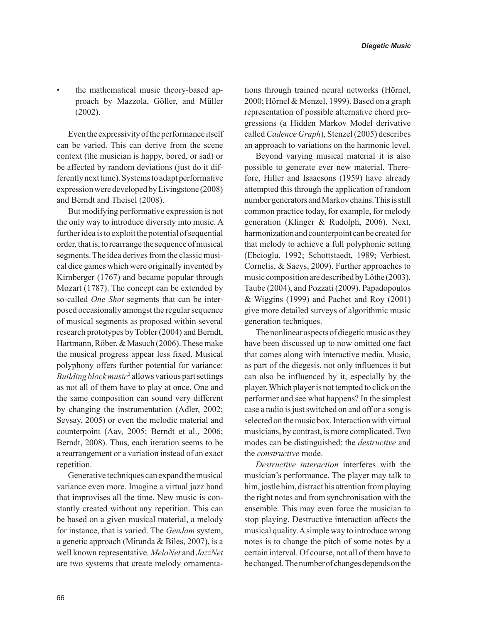the mathematical music theory-based approach by Mazzola, Göller, and Müller (2002).

Even the expressivity of the performance itself can be varied. This can derive from the scene context (the musician is happy, bored, or sad) or be affected by random deviations (just do it differently next time). Systems to adapt performative expression were developed by Livingstone (2008) and Berndt and Theisel (2008).

But modifying performative expression is not the only way to introduce diversity into music. A further idea is to exploit the potential of sequential order, that is, to rearrange the sequence of musical segments. The idea derives from the classic musical dice games which were originally invented by Kirnberger (1767) and became popular through Mozart (1787). The concept can be extended by so-called *One Shot* segments that can be interposed occasionally amongst the regular sequence of musical segments as proposed within several research prototypes by Tobler (2004) and Berndt, Hartmann, Röber, & Masuch (2006). These make the musical progress appear less fixed. Musical polyphony offers further potential for variance: *Building block music*<sup>2</sup> allows various part settings as not all of them have to play at once. One and the same composition can sound very different by changing the instrumentation (Adler, 2002; Sevsay, 2005) or even the melodic material and counterpoint (Aav, 2005; Berndt et al., 2006; Berndt, 2008). Thus, each iteration seems to be a rearrangement or a variation instead of an exact repetition.

Generative techniques can expand the musical variance even more. Imagine a virtual jazz band that improvises all the time. New music is constantly created without any repetition. This can be based on a given musical material, a melody for instance, that is varied. The *GenJam* system, a genetic approach (Miranda & Biles, 2007), is a well known representative. *MeloNet* and *JazzNet* are two systems that create melody ornamentations through trained neural networks (Hörnel, 2000; Hörnel & Menzel, 1999). Based on a graph representation of possible alternative chord progressions (a Hidden Markov Model derivative called *Cadence Graph*), Stenzel (2005) describes an approach to variations on the harmonic level.

Beyond varying musical material it is also possible to generate ever new material. Therefore, Hiller and Isaacsons (1959) have already attempted this through the application of random number generators and Markov chains. This is still common practice today, for example, for melody generation (Klinger & Rudolph, 2006). Next, harmonization and counterpoint can be created for that melody to achieve a full polyphonic setting (Ebcioglu, 1992; Schottstaedt, 1989; Verbiest, Cornelis, & Saeys, 2009). Further approaches to music composition are described by Löthe (2003), Taube (2004), and Pozzati (2009). Papadopoulos & Wiggins (1999) and Pachet and Roy (2001) give more detailed surveys of algorithmic music generation techniques.

The nonlinear aspects of diegetic music as they have been discussed up to now omitted one fact that comes along with interactive media. Music, as part of the diegesis, not only influences it but can also be influenced by it, especially by the player. Which player is not tempted to click on the performer and see what happens? In the simplest case a radio is just switched on and off or a song is selected on the music box. Interaction with virtual musicians, by contrast, is more complicated. Two modes can be distinguished: the *destructive* and the *constructive* mode.

*Destructive interaction* interferes with the musician's performance. The player may talk to him, jostle him, distract his attention from playing the right notes and from synchronisation with the ensemble. This may even force the musician to stop playing. Destructive interaction affects the musical quality. A simple way to introduce wrong notes is to change the pitch of some notes by a certain interval. Of course, not all of them have to be changed. The number of changes depends on the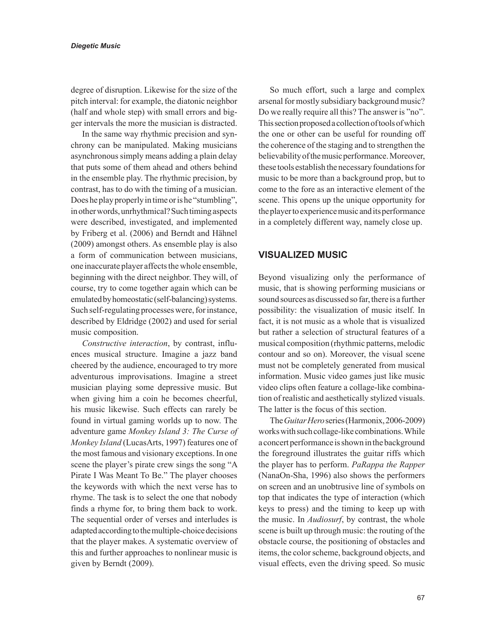degree of disruption. Likewise for the size of the pitch interval: for example, the diatonic neighbor (half and whole step) with small errors and bigger intervals the more the musician is distracted.

In the same way rhythmic precision and synchrony can be manipulated. Making musicians asynchronous simply means adding a plain delay that puts some of them ahead and others behind in the ensemble play. The rhythmic precision, by contrast, has to do with the timing of a musician. Does he play properly in time or is he "stumbling", in other words, unrhythmical? Such timing aspects were described, investigated, and implemented by Friberg et al. (2006) and Berndt and Hähnel (2009) amongst others. As ensemble play is also a form of communication between musicians, one inaccurate player affects the whole ensemble, beginning with the direct neighbor. They will, of course, try to come together again which can be emulated by homeostatic (self-balancing) systems. Such self-regulating processes were, for instance, described by Eldridge (2002) and used for serial music composition.

*Constructive interaction*, by contrast, influences musical structure. Imagine a jazz band cheered by the audience, encouraged to try more adventurous improvisations. Imagine a street musician playing some depressive music. But when giving him a coin he becomes cheerful, his music likewise. Such effects can rarely be found in virtual gaming worlds up to now. The adventure game *Monkey Island 3: The Curse of Monkey Island* (LucasArts, 1997) features one of the most famous and visionary exceptions. In one scene the player's pirate crew sings the song "A Pirate I Was Meant To Be." The player chooses the keywords with which the next verse has to rhyme. The task is to select the one that nobody finds a rhyme for, to bring them back to work. The sequential order of verses and interludes is adapted according to the multiple-choice decisions that the player makes. A systematic overview of this and further approaches to nonlinear music is given by Berndt (2009).

So much effort, such a large and complex arsenal for mostly subsidiary background music? Do we really require all this? The answer is "no". This section proposed a collection of tools of which the one or other can be useful for rounding off the coherence of the staging and to strengthen the believability of the music performance. Moreover, these tools establish the necessary foundations for music to be more than a background prop, but to come to the fore as an interactive element of the scene. This opens up the unique opportunity for the player to experience music and its performance in a completely different way, namely close up.

#### **VIsUALIZED MUsIc**

Beyond visualizing only the performance of music, that is showing performing musicians or sound sources as discussed so far, there is a further possibility: the visualization of music itself. In fact, it is not music as a whole that is visualized but rather a selection of structural features of a musical composition (rhythmic patterns, melodic contour and so on). Moreover, the visual scene must not be completely generated from musical information. Music video games just like music video clips often feature a collage-like combination of realistic and aesthetically stylized visuals. The latter is the focus of this section.

The *Guitar Hero* series (Harmonix, 2006-2009) works with such collage-like combinations. While a concert performance is shown in the background the foreground illustrates the guitar riffs which the player has to perform. *PaRappa the Rapper* (NanaOn-Sha, 1996) also shows the performers on screen and an unobtrusive line of symbols on top that indicates the type of interaction (which keys to press) and the timing to keep up with the music. In *Audiosurf*, by contrast, the whole scene is built up through music: the routing of the obstacle course, the positioning of obstacles and items, the color scheme, background objects, and visual effects, even the driving speed. So music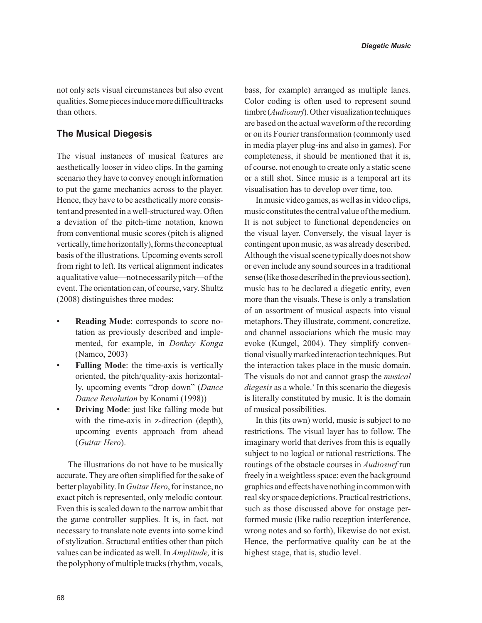not only sets visual circumstances but also event qualities. Some pieces induce more difficult tracks than others.

## **the Musical Diegesis**

The visual instances of musical features are aesthetically looser in video clips. In the gaming scenario they have to convey enough information to put the game mechanics across to the player. Hence, they have to be aesthetically more consistent and presented in a well-structured way. Often a deviation of the pitch-time notation, known from conventional music scores (pitch is aligned vertically, time horizontally), forms the conceptual basis of the illustrations. Upcoming events scroll from right to left. Its vertical alignment indicates a qualitative value—not necessarily pitch—of the event. The orientation can, of course, vary. Shultz (2008) distinguishes three modes:

- **Reading Mode**: corresponds to score notation as previously described and implemented, for example, in *Donkey Konga* (Namco, 2003)
- **Falling Mode**: the time-axis is vertically oriented, the pitch/quality-axis horizontally, upcoming events "drop down" (*Dance Dance Revolution* by Konami (1998))
- **Driving Mode:** just like falling mode but with the time-axis in z-direction (depth), upcoming events approach from ahead (*Guitar Hero*).

The illustrations do not have to be musically accurate. They are often simplified for the sake of better playability. In *Guitar Hero*, for instance, no exact pitch is represented, only melodic contour. Even this is scaled down to the narrow ambit that the game controller supplies. It is, in fact, not necessary to translate note events into some kind of stylization. Structural entities other than pitch values can be indicated as well. In *Amplitude,* it is the polyphony of multiple tracks (rhythm, vocals, bass, for example) arranged as multiple lanes. Color coding is often used to represent sound timbre (*Audiosurf*). Other visualization techniques are based on the actual waveform of the recording or on its Fourier transformation (commonly used in media player plug-ins and also in games). For completeness, it should be mentioned that it is, of course, not enough to create only a static scene or a still shot. Since music is a temporal art its visualisation has to develop over time, too.

In music video games, as well as in video clips, music constitutes the central value of the medium. It is not subject to functional dependencies on the visual layer. Conversely, the visual layer is contingent upon music, as was already described. Although the visual scene typically does not show or even include any sound sources in a traditional sense (like those described in the previous section), music has to be declared a diegetic entity, even more than the visuals. These is only a translation of an assortment of musical aspects into visual metaphors. They illustrate, comment, concretize, and channel associations which the music may evoke (Kungel, 2004). They simplify conventional visually marked interaction techniques. But the interaction takes place in the music domain. The visuals do not and cannot grasp the *musical*  diegesis as a whole.<sup>3</sup> In this scenario the diegesis is literally constituted by music. It is the domain of musical possibilities.

In this (its own) world, music is subject to no restrictions. The visual layer has to follow. The imaginary world that derives from this is equally subject to no logical or rational restrictions. The routings of the obstacle courses in *Audiosurf* run freely in a weightless space: even the background graphics and effects have nothing in common with real sky or space depictions. Practical restrictions, such as those discussed above for onstage performed music (like radio reception interference, wrong notes and so forth), likewise do not exist. Hence, the performative quality can be at the highest stage, that is, studio level.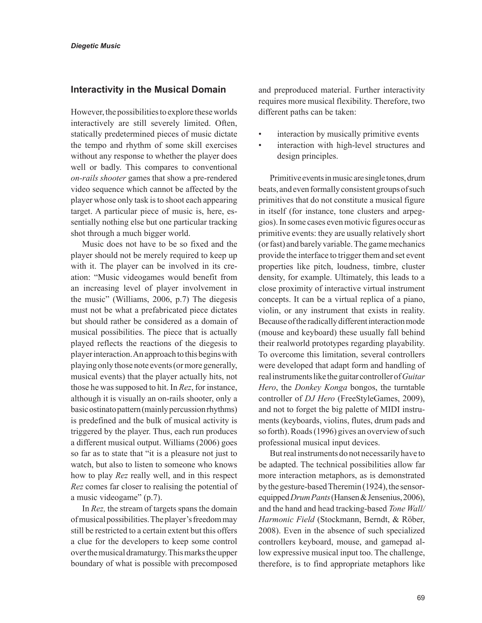#### **Interactivity in the Musical Domain**

However, the possibilities to explore these worlds interactively are still severely limited. Often, statically predetermined pieces of music dictate the tempo and rhythm of some skill exercises without any response to whether the player does well or badly. This compares to conventional *on-rails shooter* games that show a pre-rendered video sequence which cannot be affected by the player whose only task is to shoot each appearing target. A particular piece of music is, here, essentially nothing else but one particular tracking shot through a much bigger world.

Music does not have to be so fixed and the player should not be merely required to keep up with it. The player can be involved in its creation: "Music videogames would benefit from an increasing level of player involvement in the music" (Williams, 2006, p.7) The diegesis must not be what a prefabricated piece dictates but should rather be considered as a domain of musical possibilities. The piece that is actually played reflects the reactions of the diegesis to player interaction. An approach to this begins with playing only those note events (or more generally, musical events) that the player actually hits, not those he was supposed to hit. In *Rez*, for instance, although it is visually an on-rails shooter, only a basic ostinato pattern (mainly percussion rhythms) is predefined and the bulk of musical activity is triggered by the player. Thus, each run produces a different musical output. Williams (2006) goes so far as to state that "it is a pleasure not just to watch, but also to listen to someone who knows how to play *Rez* really well, and in this respect *Rez* comes far closer to realising the potential of a music videogame" (p.7).

In *Rez,* the stream of targets spans the domain of musical possibilities. The player's freedom may still be restricted to a certain extent but this offers a clue for the developers to keep some control over the musical dramaturgy. This marks the upper boundary of what is possible with precomposed and preproduced material. Further interactivity requires more musical flexibility. Therefore, two different paths can be taken:

- interaction by musically primitive events
- interaction with high-level structures and design principles.

Primitive events in music are single tones, drum beats, and even formally consistent groups of such primitives that do not constitute a musical figure in itself (for instance, tone clusters and arpeggios). In some cases even motivic figures occur as primitive events: they are usually relatively short (or fast) and barely variable. The game mechanics provide the interface to trigger them and set event properties like pitch, loudness, timbre, cluster density, for example. Ultimately, this leads to a close proximity of interactive virtual instrument concepts. It can be a virtual replica of a piano, violin, or any instrument that exists in reality. Because of the radically different interaction mode (mouse and keyboard) these usually fall behind their realworld prototypes regarding playability. To overcome this limitation, several controllers were developed that adapt form and handling of real instruments like the guitar controller of *Guitar Hero*, the *Donkey Konga* bongos, the turntable controller of *DJ Hero* (FreeStyleGames, 2009), and not to forget the big palette of MIDI instruments (keyboards, violins, flutes, drum pads and so forth). Roads (1996) gives an overview of such professional musical input devices.

But real instruments do not necessarily have to be adapted. The technical possibilities allow far more interaction metaphors, as is demonstrated by the gesture-based Theremin (1924), the sensorequipped *Drum Pants* (Hansen & Jensenius, 2006), and the hand and head tracking-based *Tone Wall/ Harmonic Field* (Stockmann, Berndt, & Röber, 2008). Even in the absence of such specialized controllers keyboard, mouse, and gamepad allow expressive musical input too. The challenge, therefore, is to find appropriate metaphors like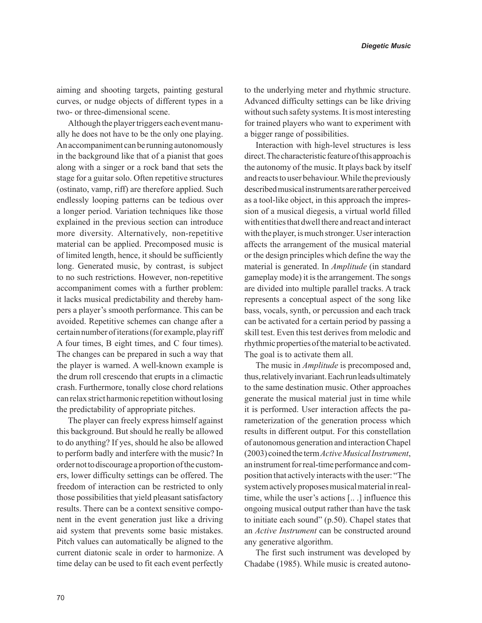aiming and shooting targets, painting gestural curves, or nudge objects of different types in a two- or three-dimensional scene.

Although the player triggers each event manually he does not have to be the only one playing. An accompaniment can be running autonomously in the background like that of a pianist that goes along with a singer or a rock band that sets the stage for a guitar solo. Often repetitive structures (ostinato, vamp, riff) are therefore applied. Such endlessly looping patterns can be tedious over a longer period. Variation techniques like those explained in the previous section can introduce more diversity. Alternatively, non-repetitive material can be applied. Precomposed music is of limited length, hence, it should be sufficiently long. Generated music, by contrast, is subject to no such restrictions. However, non-repetitive accompaniment comes with a further problem: it lacks musical predictability and thereby hampers a player's smooth performance. This can be avoided. Repetitive schemes can change after a certain number of iterations (for example, play riff A four times, B eight times, and C four times). The changes can be prepared in such a way that the player is warned. A well-known example is the drum roll crescendo that erupts in a climactic crash. Furthermore, tonally close chord relations can relax strict harmonic repetition without losing the predictability of appropriate pitches.

The player can freely express himself against this background. But should he really be allowed to do anything? If yes, should he also be allowed to perform badly and interfere with the music? In order not to discourage a proportion of the customers, lower difficulty settings can be offered. The freedom of interaction can be restricted to only those possibilities that yield pleasant satisfactory results. There can be a context sensitive component in the event generation just like a driving aid system that prevents some basic mistakes. Pitch values can automatically be aligned to the current diatonic scale in order to harmonize. A time delay can be used to fit each event perfectly to the underlying meter and rhythmic structure. Advanced difficulty settings can be like driving without such safety systems. It is most interesting for trained players who want to experiment with a bigger range of possibilities.

Interaction with high-level structures is less direct. The characteristic feature of this approach is the autonomy of the music. It plays back by itself and reacts to user behaviour. While the previously described musical instruments are rather perceived as a tool-like object, in this approach the impression of a musical diegesis, a virtual world filled with entities that dwell there and react and interact with the player, is much stronger. User interaction affects the arrangement of the musical material or the design principles which define the way the material is generated. In *Amplitude* (in standard gameplay mode) it is the arrangement. The songs are divided into multiple parallel tracks. A track represents a conceptual aspect of the song like bass, vocals, synth, or percussion and each track can be activated for a certain period by passing a skill test. Even this test derives from melodic and rhythmic properties of the material to be activated. The goal is to activate them all.

The music in *Amplitude* is precomposed and, thus, relatively invariant. Each run leads ultimately to the same destination music. Other approaches generate the musical material just in time while it is performed. User interaction affects the parameterization of the generation process which results in different output. For this constellation of autonomous generation and interaction Chapel (2003) coined the term *Active Musical Instrument*, an instrument for real-time performance and composition that actively interacts with the user: "The system actively proposes musical material in realtime, while the user's actions [.. .] influence this ongoing musical output rather than have the task to initiate each sound" (p.50). Chapel states that an *Active Instrument* can be constructed around any generative algorithm.

The first such instrument was developed by Chadabe (1985). While music is created autono-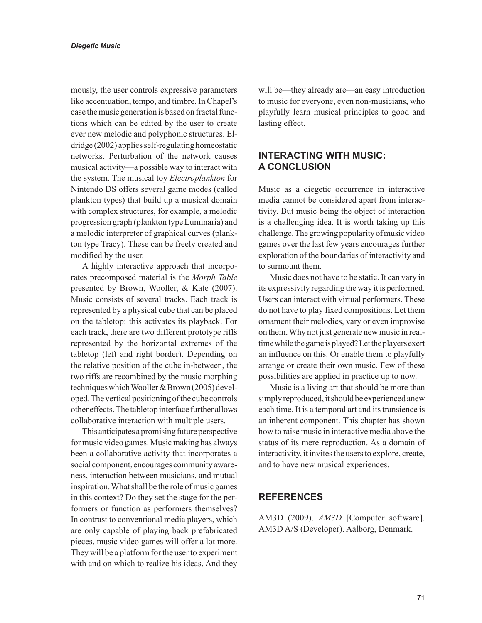mously, the user controls expressive parameters like accentuation, tempo, and timbre. In Chapel's case the music generation is based on fractal functions which can be edited by the user to create ever new melodic and polyphonic structures. Eldridge (2002) applies self-regulating homeostatic networks. Perturbation of the network causes musical activity—a possible way to interact with the system. The musical toy *Electroplankton* for Nintendo DS offers several game modes (called plankton types) that build up a musical domain with complex structures, for example, a melodic progression graph (plankton type Luminaria) and a melodic interpreter of graphical curves (plankton type Tracy). These can be freely created and modified by the user.

A highly interactive approach that incorporates precomposed material is the *Morph Table* presented by Brown, Wooller, & Kate (2007). Music consists of several tracks. Each track is represented by a physical cube that can be placed on the tabletop: this activates its playback. For each track, there are two different prototype riffs represented by the horizontal extremes of the tabletop (left and right border). Depending on the relative position of the cube in-between, the two riffs are recombined by the music morphing techniques which Wooller & Brown (2005) developed. The vertical positioning of the cube controls other effects. The tabletop interface further allows collaborative interaction with multiple users.

This anticipates a promising future perspective for music video games. Music making has always been a collaborative activity that incorporates a social component, encourages community awareness, interaction between musicians, and mutual inspiration. What shall be the role of music games in this context? Do they set the stage for the performers or function as performers themselves? In contrast to conventional media players, which are only capable of playing back prefabricated pieces, music video games will offer a lot more. They will be a platform for the user to experiment with and on which to realize his ideas. And they

will be—they already are—an easy introduction to music for everyone, even non-musicians, who playfully learn musical principles to good and lasting effect.

# **INtErActING WItH MUsIc: A cONcLUsION**

Music as a diegetic occurrence in interactive media cannot be considered apart from interactivity. But music being the object of interaction is a challenging idea. It is worth taking up this challenge. The growing popularity of music video games over the last few years encourages further exploration of the boundaries of interactivity and to surmount them.

Music does not have to be static. It can vary in its expressivity regarding the way it is performed. Users can interact with virtual performers. These do not have to play fixed compositions. Let them ornament their melodies, vary or even improvise on them. Why not just generate new music in realtime while the game is played? Let the players exert an influence on this. Or enable them to playfully arrange or create their own music. Few of these possibilities are applied in practice up to now.

Music is a living art that should be more than simply reproduced, it should be experienced anew each time. It is a temporal art and its transience is an inherent component. This chapter has shown how to raise music in interactive media above the status of its mere reproduction. As a domain of interactivity, it invites the users to explore, create, and to have new musical experiences.

#### **rEFErENcEs**

AM3D (2009). *AM3D* [Computer software]. AM3D A/S (Developer). Aalborg, Denmark.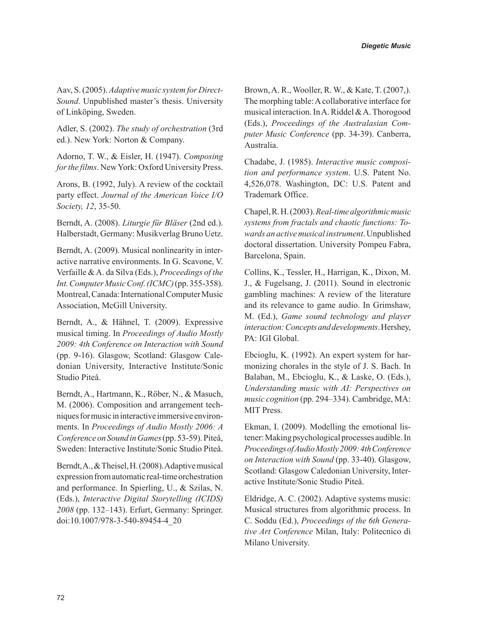Aav, S. (2005). *Adaptive music system for Direct-Sound*. Unpublished master's thesis. University of Linköping, Sweden.

Adler, S. (2002). *The study of orchestration* (3rd ed.). New York: Norton & Company.

Adorno, T. W., & Eisler, H. (1947). *Composing for the films*. New York: Oxford University Press.

Arons, B. (1992, July). A review of the cocktail party effect. *Journal of the American Voice I/O Society, 12*, 35-50.

Berndt, A. (2008). *Liturgie für Bläser* (2nd ed.). Halberstadt, Germany: Musikverlag Bruno Uetz.

Berndt, A. (2009). Musical nonlinearity in interactive narrative environments. In G. Scavone, V. Verfaille & A. da Silva (Eds.), *Proceedings of the Int. Computer Music Conf. (ICMC)* (pp. 355-358). Montreal, Canada: International Computer Music Association, McGill University.

Berndt, A., & Hähnel, T. (2009). Expressive musical timing. In *Proceedings of Audio Mostly 2009: 4th Conference on Interaction with Sound* (pp. 9-16). Glasgow, Scotland: Glasgow Caledonian University, Interactive Institute/Sonic Studio Piteå.

Berndt, A., Hartmann, K., Röber, N., & Masuch, M. (2006). Composition and arrangement techniques for music in interactive immersive environments. In *Proceedings of Audio Mostly 2006: A Conference on Sound in Games* (pp. 53-59). Piteå, Sweden: Interactive Institute/Sonic Studio Piteå.

Berndt, A., & Theisel, H. (2008). Adaptive musical expression from automatic real-time orchestration and performance. In Spierling, U., & Szilas, N. (Eds.), *Interactive Digital Storytelling (ICIDS) 2008* (pp. 132–143). Erfurt, Germany: Springer. doi:10.1007/978-3-540-89454-4\_20

Brown, A. R., Wooller, R. W., & Kate, T. (2007,). The morphing table: A collaborative interface for musical interaction. In A. Riddel & A. Thorogood (Eds.), *Proceedings of the Australasian Computer Music Conference* (pp. 34-39). Canberra, Australia.

Chadabe, J. (1985). *Interactive music composition and performance system*. U.S. Patent No. 4,526,078. Washington, DC: U.S. Patent and Trademark Office.

Chapel, R. H. (2003). *Real-time algorithmic music systems from fractals and chaotic functions: Towards an active musical instrument*. Unpublished doctoral dissertation. University Pompeu Fabra, Barcelona, Spain.

Collins, K., Tessler, H., Harrigan, K., Dixon, M. J., & Fugelsang, J. (2011). Sound in electronic gambling machines: A review of the literature and its relevance to game audio. In Grimshaw, M. (Ed.), *Game sound technology and player interaction: Concepts and developments*. Hershey, PA: IGI Global.

Ebcioglu, K. (1992). An expert system for harmonizing chorales in the style of J. S. Bach. In Balaban, M., Ebcioglu, K., & Laske, O. (Eds.), *Understanding music with AI: Perspectives on music cognition* (pp. 294–334). Cambridge, MA: MIT Press.

Ekman, I. (2009). Modelling the emotional listener: Making psychological processes audible. In *Proceedings of Audio Mostly 2009: 4th Conference on Interaction with Sound* (pp. 33-40). Glasgow, Scotland: Glasgow Caledonian University, Interactive Institute/Sonic Studio Piteå.

Eldridge, A. C. (2002). Adaptive systems music: Musical structures from algorithmic process. In C. Soddu (Ed.), *Proceedings of the 6th Generative Art Conference* Milan, Italy: Politecnico di Milano University.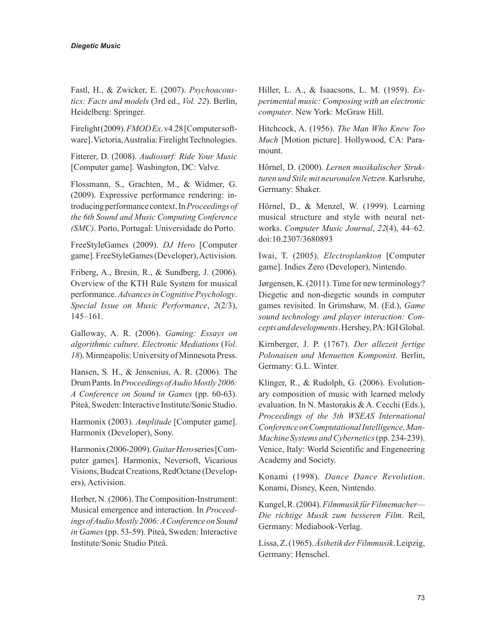Fastl, H., & Zwicker, E. (2007). *Psychoacoustics: Facts and models* (3rd ed., *Vol. 22*). Berlin, Heidelberg: Springer.

Firelight (2009). *FMOD Ex*. v4.28 [Computer software]. Victoria, Australia: Firelight Technologies.

Fitterer, D. (2008). *Audiosurf: Ride Your Music* [Computer game]. Washington, DC: Valve.

Flossmann, S., Grachten, M., & Widmer, G. (2009). Expressive performance rendering: introducing performance context. In *Proceedings of the 6th Sound and Music Computing Conference (SMC)*. Porto, Portugal: Universidade do Porto.

FreeStyleGames (2009). *DJ Hero* [Computer game]. FreeStyleGames (Developer), Activision.

Friberg, A., Bresin, R., & Sundberg, J. (2006). Overview of the KTH Rule System for musical performance. *Advances in Cognitive Psychology*. *Special Issue on Music Performance*, *2*(2/3), 145–161.

Galloway, A. R. (2006). *Gaming: Essays on algorithmic culture. Electronic Mediations* (*Vol. 18*). Minneapolis: University of Minnesota Press.

Hansen, S. H., & Jensenius, A. R. (2006). The Drum Pants. In *Proceedings of Audio Mostly 2006: A Conference on Sound in Games* (pp. 60-63). Piteå, Sweden: Interactive Institute/Sonic Studio.

Harmonix (2003). *Amplitude* [Computer game]. Harmonix (Developer), Sony.

Harmonix (2006-2009). *Guitar Hero* series [Computer games]. Harmonix, Neversoft, Vicarious Visions, Budcat Creations, RedOctane (Developers), Activision.

Herber, N. (2006). The Composition-Instrument: Musical emergence and interaction. In *Proceedings of Audio Mostly 2006: A Conference on Sound in Games* (pp. 53-59). Piteå, Sweden: Interactive Institute/Sonic Studio Piteå.

Hiller, L. A., & Isaacsons, L. M. (1959). *Experimental music: Composing with an electronic computer*. New York: McGraw Hill.

Hitchcock, A. (1956). *The Man Who Knew Too Much* [Motion picture]. Hollywood, CA: Paramount.

Hörnel, D. (2000). *Lernen musikalischer Strukturen und Stile mit neuronalen Netzen*. Karlsruhe, Germany: Shaker.

Hörnel, D., & Menzel, W. (1999). Learning musical structure and style with neural networks. *Computer Music Journal*, *22*(4), 44–62. doi:10.2307/3680893

Iwai, T. (2005). *Electroplankton* [Computer game]. Indies Zero (Developer), Nintendo.

Jørgensen, K. (2011). Time for new terminology? Diegetic and non-diegetic sounds in computer games revisited. In Grimshaw, M. (Ed.), *Game sound technology and player interaction: Concepts and developments*. Hershey, PA: IGI Global.

Kirnberger, J. P. (1767). *Der allezeit fertige Polonaisen und Menuetten Komponist*. Berlin, Germany: G.L. Winter.

Klinger, R., & Rudolph, G. (2006). Evolutionary composition of music with learned melody evaluation. In N. Mastorakis & A. Cecchi (Eds.), *Proceedings of the 5th WSEAS International Conference on Computational Intelligence, Man-Machine Systems and Cybernetics* (pp. 234-239). Venice, Italy: World Scientific and Engeneering Academy and Society.

Konami (1998). *Dance Dance Revolution*. Konami, Disney, Keen, Nintendo.

Kungel, R. (2004). *Filmmusik für Filmemacher— Die richtige Musik zum besseren Film*. Reil, Germany: Mediabook-Verlag.

Lissa, Z. (1965). *Ästhetik der Filmmusik*. Leipzig, Germany: Henschel.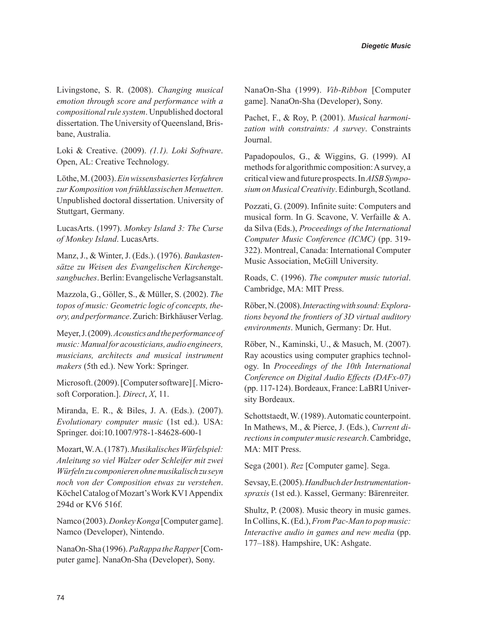Livingstone, S. R. (2008). *Changing musical emotion through score and performance with a compositional rule system*. Unpublished doctoral dissertation. The University of Queensland, Brisbane, Australia.

Loki & Creative. (2009). *(1.1). Loki Software*. Open, AL: Creative Technology.

Löthe, M. (2003). *Ein wissensbasiertes Verfahren zur Komposition von frühklassischen Menuetten*. Unpublished doctoral dissertation. University of Stuttgart, Germany.

LucasArts. (1997). *Monkey Island 3: The Curse of Monkey Island*. LucasArts.

Manz, J., & Winter, J. (Eds.). (1976). *Baukastensätze zu Weisen des Evangelischen Kirchengesangbuches*. Berlin: Evangelische Verlagsanstalt.

Mazzola, G., Göller, S., & Müller, S. (2002). *The topos of music: Geometric logic of concepts, theory, and performance*. Zurich: Birkhäuser Verlag.

Meyer, J. (2009). *Acoustics and the performance of music: Manual for acousticians, audio engineers, musicians, architects and musical instrument makers* (5th ed.). New York: Springer.

Microsoft. (2009). [Computer software] [. Microsoft Corporation.]. *Direct*, *X*, 11.

Miranda, E. R., & Biles, J. A. (Eds.). (2007). *Evolutionary computer music* (1st ed.). USA: Springer. doi:10.1007/978-1-84628-600-1

Mozart, W. A. (1787). *Musikalisches Würfelspiel: Anleitung so viel Walzer oder Schleifer mit zwei Würfeln zu componieren ohne musikalisch zu seyn noch von der Composition etwas zu verstehen*. Köchel Catalog of Mozart's Work KV1 Appendix 294d or KV6 516f.

Namco (2003). *Donkey Konga* [Computer game]. Namco (Developer), Nintendo.

NanaOn-Sha (1996). *PaRappa the Rapper* [Computer game]. NanaOn-Sha (Developer), Sony.

NanaOn-Sha (1999). *Vib-Ribbon* [Computer game]. NanaOn-Sha (Developer), Sony.

Pachet, F., & Roy, P. (2001). *Musical harmonization with constraints: A survey*. Constraints Journal.

Papadopoulos, G., & Wiggins, G. (1999). AI methods for algorithmic composition: A survey, a critical view and future prospects. In *AISB Symposium on Musical Creativity*. Edinburgh, Scotland.

Pozzati, G. (2009). Infinite suite: Computers and musical form. In G. Scavone, V. Verfaille & A. da Silva (Eds.), *Proceedings of the International Computer Music Conference (ICMC)* (pp. 319- 322). Montreal, Canada: International Computer Music Association, McGill University.

Roads, C. (1996). *The computer music tutorial*. Cambridge, MA: MIT Press.

Röber, N. (2008). *Interacting with sound: Explorations beyond the frontiers of 3D virtual auditory environments*. Munich, Germany: Dr. Hut.

Röber, N., Kaminski, U., & Masuch, M. (2007). Ray acoustics using computer graphics technology. In *Proceedings of the 10th International Conference on Digital Audio Effects (DAFx-07)* (pp. 117-124). Bordeaux, France: LaBRI University Bordeaux.

Schottstaedt, W. (1989). Automatic counterpoint. In Mathews, M., & Pierce, J. (Eds.), *Current directions in computer music research*. Cambridge, MA: MIT Press.

Sega (2001). *Rez* [Computer game]. Sega.

Sevsay, E. (2005). *Handbuch der Instrumentationspraxis* (1st ed.). Kassel, Germany: Bärenreiter.

Shultz, P. (2008). Music theory in music games. In Collins, K. (Ed.), *From Pac-Man to pop music: Interactive audio in games and new media* (pp. 177–188). Hampshire, UK: Ashgate.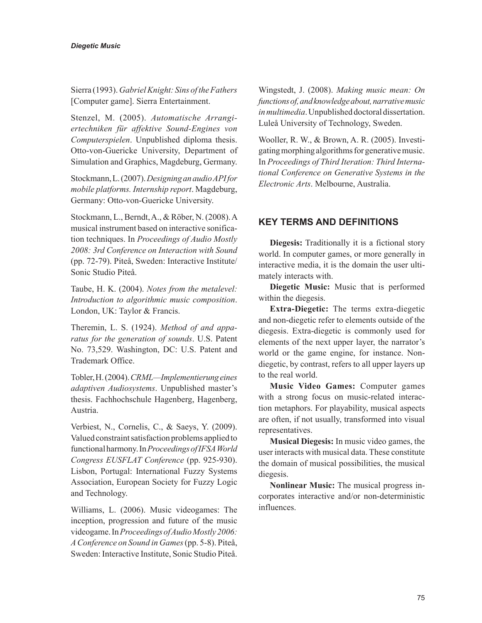Sierra (1993). *Gabriel Knight: Sins of the Fathers* [Computer game]. Sierra Entertainment.

Stenzel, M. (2005). *Automatische Arrangiertechniken für affektive Sound-Engines von Computerspielen*. Unpublished diploma thesis. Otto-von-Guericke University, Department of Simulation and Graphics, Magdeburg, Germany.

Stockmann, L. (2007). *Designing an audio API for mobile platforms. Internship report*. Magdeburg, Germany: Otto-von-Guericke University.

Stockmann, L., Berndt, A., & Röber, N. (2008). A musical instrument based on interactive sonification techniques. In *Proceedings of Audio Mostly 2008: 3rd Conference on Interaction with Sound* (pp. 72-79). Piteå, Sweden: Interactive Institute/ Sonic Studio Piteå.

Taube, H. K. (2004). *Notes from the metalevel: Introduction to algorithmic music composition*. London, UK: Taylor & Francis.

Theremin, L. S. (1924). *Method of and apparatus for the generation of sounds*. U.S. Patent No. 73,529. Washington, DC: U.S. Patent and Trademark Office.

Tobler, H. (2004). *CRML—Implementierung eines adaptiven Audiosystems*. Unpublished master's thesis. Fachhochschule Hagenberg, Hagenberg, Austria.

Verbiest, N., Cornelis, C., & Saeys, Y. (2009). Valued constraint satisfaction problems applied to functional harmony. In *Proceedings of IFSA World Congress EUSFLAT Conference* (pp. 925-930). Lisbon, Portugal: International Fuzzy Systems Association, European Society for Fuzzy Logic and Technology.

Williams, L. (2006). Music videogames: The inception, progression and future of the music videogame. In *Proceedings of Audio Mostly 2006: A Conference on Sound in Games* (pp. 5-8). Piteå, Sweden: Interactive Institute, Sonic Studio Piteå.

Wingstedt, J. (2008). *Making music mean: On functions of, and knowledge about, narrative music in multimedia*. Unpublished doctoral dissertation. Luleå University of Technology, Sweden.

Wooller, R. W., & Brown, A. R. (2005). Investigating morphing algorithms for generative music. In *Proceedings of Third Iteration: Third International Conference on Generative Systems in the Electronic Arts*. Melbourne, Australia.

# **KEY tErMs AND DEFINItIONs**

**Diegesis:** Traditionally it is a fictional story world. In computer games, or more generally in interactive media, it is the domain the user ultimately interacts with.

**Diegetic Music:** Music that is performed within the diegesis.

**Extra-Diegetic:** The terms extra-diegetic and non-diegetic refer to elements outside of the diegesis. Extra-diegetic is commonly used for elements of the next upper layer, the narrator's world or the game engine, for instance. Nondiegetic, by contrast, refers to all upper layers up to the real world.

**Music Video Games:** Computer games with a strong focus on music-related interaction metaphors. For playability, musical aspects are often, if not usually, transformed into visual representatives.

**Musical Diegesis:** In music video games, the user interacts with musical data. These constitute the domain of musical possibilities, the musical diegesis.

**Nonlinear Music:** The musical progress incorporates interactive and/or non-deterministic influences.